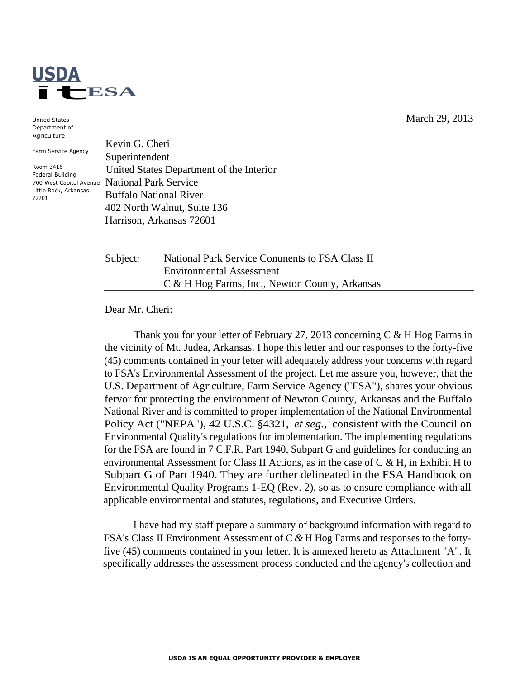

United States Department of Agriculture

Farm Service Agency

Room 3416 Federal Building 700 West Capitol Avenue Little Rock, Arkansas 72201

Kevin G. Cheri Superintendent United States Department of the Interior National Park Service Buffalo National River 402 North Walnut, Suite 136 Harrison, Arkansas 72601

Subject: National Park Service Conunents to FSA Class II Environmental Assessment C & H Hog Farms, Inc., Newton County, Arkansas

Dear Mr. Cheri:

Thank you for your letter of February 27, 2013 concerning C & H Hog Farms in the vicinity of Mt. Judea, Arkansas. I hope this letter and our responses to the forty-five (45) comments contained in your letter will adequately address your concerns with regard to FSA's Environmental Assessment of the project. Let me assure you, however, that the U.S. Department of Agriculture, Farm Service Agency ("FSA"), shares your obvious fervor for protecting the environment of Newton County, Arkansas and the Buffalo National River and is committed to proper implementation of the National Environmental Policy Act ("NEPA"), 42 U.S.C. §4321, *et seg.,* consistent with the Council on Environmental Quality's regulations for implementation. The implementing regulations for the FSA are found in 7 C.F.R. Part 1940, Subpart G and guidelines for conducting an environmental Assessment for Class II Actions, as in the case of C & H, in Exhibit H to Subpart G of Part 1940. They are further delineated in the FSA Handbook on Environmental Quality Programs 1-EQ (Rev. 2), so as to ensure compliance with all applicable environmental and statutes, regulations, and Executive Orders.

I have had my staff prepare a summary of background information with regard to FSA's Class II Environment Assessment of C *&* H Hog Farms and responses to the fortyfive (45) comments contained in your letter. It is annexed hereto as Attachment "A". It specifically addresses the assessment process conducted and the agency's collection and

March 29, 2013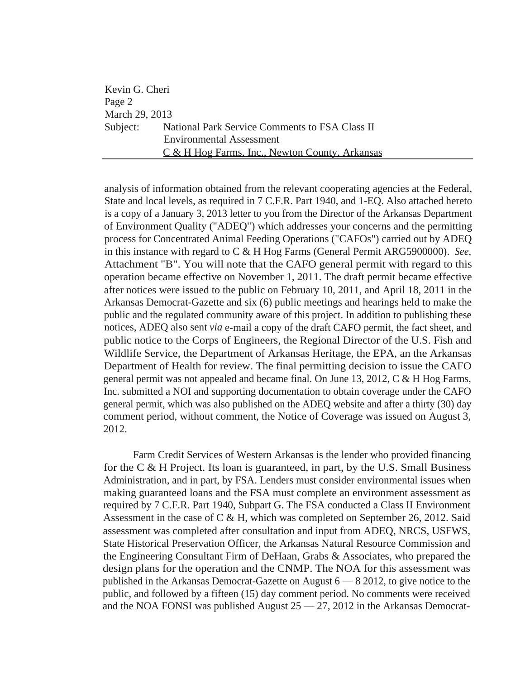| Kevin G. Cheri |                                                         |
|----------------|---------------------------------------------------------|
| Page 2         |                                                         |
| March 29, 2013 |                                                         |
|                | Subject: National Park Service Comments to FSA Class II |
|                | <b>Environmental Assessment</b>                         |
|                | C & H Hog Farms, Inc., Newton County, Arkansas          |

analysis of information obtained from the relevant cooperating agencies at the Federal, State and local levels, as required in 7 C.F.R. Part 1940, and 1-EQ. Also attached hereto is a copy of a January 3, 2013 letter to you from the Director of the Arkansas Department of Environment Quality ("ADEQ") which addresses your concerns and the permitting process for Concentrated Animal Feeding Operations ("CAFOs") carried out by ADEQ in this instance with regard to C & H Hog Farms (General Permit ARG5900000). *See,*  Attachment "B". You will note that the CAFO general permit with regard to this operation became effective on November 1, 2011. The draft permit became effective after notices were issued to the public on February 10, 2011, and April 18, 2011 in the Arkansas Democrat-Gazette and six (6) public meetings and hearings held to make the public and the regulated community aware of this project. In addition to publishing these notices, ADEQ also sent *via* e-mail a copy of the draft CAFO permit, the fact sheet, and public notice to the Corps of Engineers, the Regional Director of the U.S. Fish and Wildlife Service, the Department of Arkansas Heritage, the EPA, an the Arkansas Department of Health for review. The final permitting decision to issue the CAFO general permit was not appealed and became final. On June 13, 2012, C & H Hog Farms, Inc. submitted a NOI and supporting documentation to obtain coverage under the CAFO general permit, which was also published on the ADEQ website and after a thirty (30) day comment period, without comment, the Notice of Coverage was issued on August 3, 2012.

Farm Credit Services of Western Arkansas is the lender who provided financing for the C & H Project. Its loan is guaranteed, in part, by the U.S. Small Business Administration, and in part, by FSA. Lenders must consider environmental issues when making guaranteed loans and the FSA must complete an environment assessment as required by 7 C.F.R. Part 1940, Subpart G. The FSA conducted a Class II Environment Assessment in the case of C & H, which was completed on September 26, 2012. Said assessment was completed after consultation and input from ADEQ, NRCS, USFWS, State Historical Preservation Officer, the Arkansas Natural Resource Commission and the Engineering Consultant Firm of DeHaan, Grabs & Associates, who prepared the design plans for the operation and the CNMP. The NOA for this assessment was published in the Arkansas Democrat-Gazette on August 6 — 8 2012, to give notice to the public, and followed by a fifteen (15) day comment period. No comments were received and the NOA FONSI was published August 25 — 27, 2012 in the Arkansas Democrat-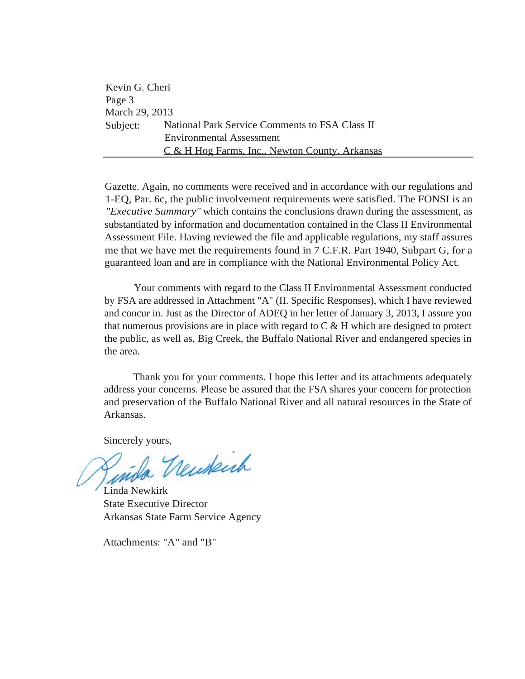| Kevin G. Cheri |                                                           |
|----------------|-----------------------------------------------------------|
| Page 3         |                                                           |
| March 29, 2013 |                                                           |
| Subject:       | National Park Service Comments to FSA Class II            |
|                | <b>Environmental Assessment</b>                           |
|                | <u>C &amp; H Hog Farms, Inc., Newton County, Arkansas</u> |

Gazette. Again, no comments were received and in accordance with our regulations and 1-EQ, Par. 6c, the public involvement requirements were satisfied. The FONSI is an *"Executive Summary"* which contains the conclusions drawn during the assessment, as substantiated by information and documentation contained in the Class II Environmental Assessment File. Having reviewed the file and applicable regulations, my staff assures me that we have met the requirements found in 7 C.F.R. Part 1940, Subpart G, for a guaranteed loan and are in compliance with the National Environmental Policy Act.

Your comments with regard to the Class II Environmental Assessment conducted by FSA are addressed in Attachment "A" (II. Specific Responses), which I have reviewed and concur in. Just as the Director of ADEQ in her letter of January 3, 2013, I assure you that numerous provisions are in place with regard to  $C \& H$  which are designed to protect the public, as well as, Big Creek, the Buffalo National River and endangered species in the area.

Thank you for your comments. I hope this letter and its attachments adequately address your concerns. Please be assured that the FSA shares your concern for protection and preservation of the Buffalo National River and all natural resources in the State of Arkansas.

Sincerely yours,

Linda Newkirk State Executive Director Arkansas State Farm Service Agency

Attachments: "A" and "B"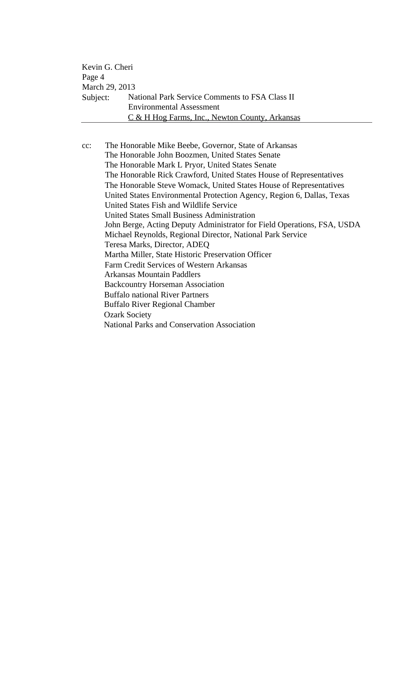| Kevin G. Cheri |                                                |
|----------------|------------------------------------------------|
| Page 4         |                                                |
| March 29, 2013 |                                                |
| Subject:       | National Park Service Comments to FSA Class II |
|                | <b>Environmental Assessment</b>                |
|                | C & H Hog Farms, Inc., Newton County, Arkansas |

cc: The Honorable Mike Beebe, Governor, State of Arkansas The Honorable John Boozmen, United States Senate The Honorable Mark L Pryor, United States Senate The Honorable Rick Crawford, United States House of Representatives The Honorable Steve Womack, United States House of Representatives United States Environmental Protection Agency, Region 6, Dallas, Texas United States Fish and Wildlife Service United States Small Business Administration John Berge, Acting Deputy Administrator for Field Operations, FSA, USDA Michael Reynolds, Regional Director, National Park Service Teresa Marks, Director, ADEQ Martha Miller, State Historic Preservation Officer Farm Credit Services of Western Arkansas Arkansas Mountain Paddlers Backcountry Horseman Association Buffalo national River Partners Buffalo River Regional Chamber Ozark Society National Parks and Conservation Association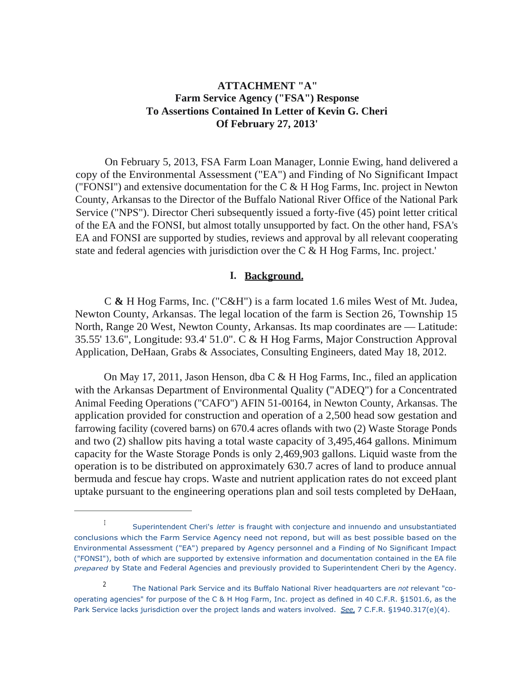# **ATTACHMENT "A" Farm Service Agency ("FSA") Response To Assertions Contained In Letter of Kevin G. Cheri Of February 27, 2013'**

On February 5, 2013, FSA Farm Loan Manager, Lonnie Ewing, hand delivered a copy of the Environmental Assessment ("EA") and Finding of No Significant Impact ("FONSI") and extensive documentation for the  $C & H H$  Hog Farms, Inc. project in Newton County, Arkansas to the Director of the Buffalo National River Office of the National Park Service ("NPS"). Director Cheri subsequently issued a forty-five (45) point letter critical of the EA and the FONSI, but almost totally unsupported by fact. On the other hand, FSA's EA and FONSI are supported by studies, reviews and approval by all relevant cooperating state and federal agencies with jurisdiction over the C & H Hog Farms, Inc. project.'

### **I. Background.**

C **&** H Hog Farms, Inc. ("C&H") is a farm located 1.6 miles West of Mt. Judea, Newton County, Arkansas. The legal location of the farm is Section 26, Township 15 North, Range 20 West, Newton County, Arkansas. Its map coordinates are — Latitude: 35.55' 13.6", Longitude: 93.4' 51.0". C & H Hog Farms, Major Construction Approval Application, DeHaan, Grabs & Associates, Consulting Engineers, dated May 18, 2012.

On May 17, 2011, Jason Henson, dba C & H Hog Farms, Inc., filed an application with the Arkansas Department of Environmental Quality ("ADEQ") for a Concentrated Animal Feeding Operations ("CAFO") AFIN 51-00164, in Newton County, Arkansas. The application provided for construction and operation of a 2,500 head sow gestation and farrowing facility (covered barns) on 670.4 acres oflands with two (2) Waste Storage Ponds and two (2) shallow pits having a total waste capacity of 3,495,464 gallons. Minimum capacity for the Waste Storage Ponds is only 2,469,903 gallons. Liquid waste from the operation is to be distributed on approximately 630.7 acres of land to produce annual bermuda and fescue hay crops. Waste and nutrient application rates do not exceed plant uptake pursuant to the engineering operations plan and soil tests completed by DeHaan,

I Superintendent Cheri's *letter* is fraught with conjecture and innuendo and unsubstantiated conclusions which the Farm Service Agency need not repond, but will as best possible based on the Environmental Assessment ("EA") prepared by Agency personnel and a Finding of No Significant Impact ("FONSI"), both of which are supported by extensive information and documentation contained in the EA file *prepared* by State and Federal Agencies and previously provided to Superintendent Cheri by the Agency.

<sup>2</sup> The National Park Service and its Buffalo National River headquarters are *not* relevant "cooperating agencies" for purpose of the C & H Hog Farm, Inc. project as defined in 40 C.F.R. §1501.6, as the Park Service lacks jurisdiction over the project lands and waters involved. *See,* 7 C.F.R. §1940.317(e)(4).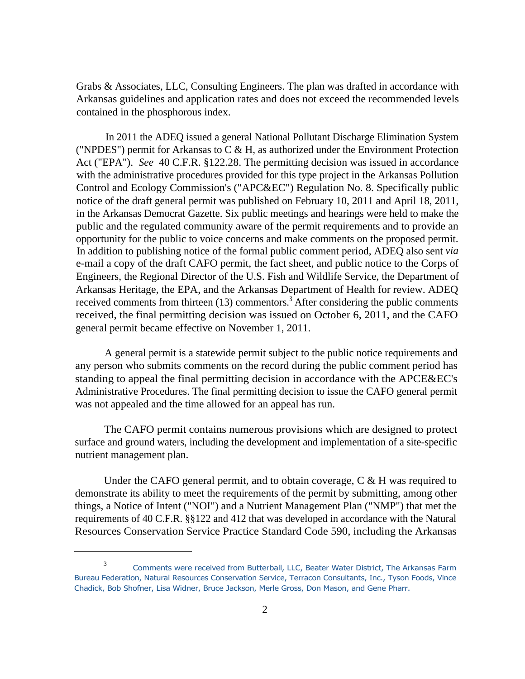Grabs & Associates, LLC, Consulting Engineers. The plan was drafted in accordance with Arkansas guidelines and application rates and does not exceed the recommended levels contained in the phosphorous index.

In 2011 the ADEQ issued a general National Pollutant Discharge Elimination System ("NPDES") permit for Arkansas to  $C & H$ , as authorized under the Environment Protection Act ("EPA"). *See* 40 C.F.R. §122.28. The permitting decision was issued in accordance with the administrative procedures provided for this type project in the Arkansas Pollution Control and Ecology Commission's ("APC&EC") Regulation No. 8. Specifically public notice of the draft general permit was published on February 10, 2011 and April 18, 2011, in the Arkansas Democrat Gazette. Six public meetings and hearings were held to make the public and the regulated community aware of the permit requirements and to provide an opportunity for the public to voice concerns and make comments on the proposed permit. In addition to publishing notice of the formal public comment period, ADEQ also sent *via*  e-mail a copy of the draft CAFO permit, the fact sheet, and public notice to the Corps of Engineers, the Regional Director of the U.S. Fish and Wildlife Service, the Department of Arkansas Heritage, the EPA, and the Arkansas Department of Health for review. ADEQ received comments from thirteen  $(13)$  commentors.<sup>3</sup> After considering the public comments received, the final permitting decision was issued on October 6, 2011, and the CAFO general permit became effective on November 1, 2011.

A general permit is a statewide permit subject to the public notice requirements and any person who submits comments on the record during the public comment period has standing to appeal the final permitting decision in accordance with the APCE&EC's Administrative Procedures. The final permitting decision to issue the CAFO general permit was not appealed and the time allowed for an appeal has run.

The CAFO permit contains numerous provisions which are designed to protect surface and ground waters, including the development and implementation of a site-specific nutrient management plan.

Under the CAFO general permit, and to obtain coverage, C & H was required to demonstrate its ability to meet the requirements of the permit by submitting, among other things, a Notice of Intent ("NOI") and a Nutrient Management Plan ("NMP") that met the requirements of 40 C.F.R. §§122 and 412 that was developed in accordance with the Natural Resources Conservation Service Practice Standard Code 590, including the Arkansas

<sup>3</sup>Comments were received from Butterball, LLC, Beater Water District, The Arkansas Farm Bureau Federation, Natural Resources Conservation Service, Terracon Consultants, Inc., Tyson Foods, Vince Chadick, Bob Shofner, Lisa Widner, Bruce Jackson, Merle Gross, Don Mason, and Gene Pharr.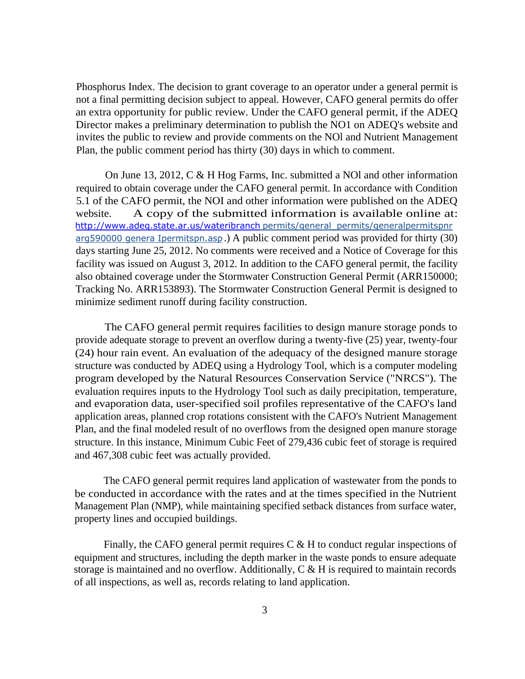Phosphorus Index. The decision to grant coverage to an operator under a general permit is not a final permitting decision subject to appeal. However, CAFO general permits do offer an extra opportunity for public review. Under the CAFO general permit, if the ADEQ Director makes a preliminary determination to publish the NO1 on ADEQ's website and invites the public to review and provide comments on the NOl and Nutrient Management Plan, the public comment period has thirty (30) days in which to comment.

On June 13, 2012, C & H Hog Farms, Inc. submitted a NOl and other information required to obtain coverage under the CAFO general permit. In accordance with Condition 5.1 of the CAFO permit, the NOI and other information were published on the ADEQ website. A copy of the submitted information is available online at: http://www.adeq.state.ar.us/wateribranch permits/general\_permits/generalpermitspnr arg590000 genera Ipermitspn.asp .) A public comment period was provided for thirty (30) days starting June 25, 2012. No comments were received and a Notice of Coverage for this facility was issued on August 3, 2012. In addition to the CAFO general permit, the facility also obtained coverage under the Stormwater Construction General Permit (ARR150000; Tracking No. ARR153893). The Stormwater Construction General Permit is designed to minimize sediment runoff during facility construction.

The CAFO general permit requires facilities to design manure storage ponds to provide adequate storage to prevent an overflow during a twenty-five (25) year, twenty-four (24) hour rain event. An evaluation of the adequacy of the designed manure storage structure was conducted by ADEQ using a Hydrology Tool, which is a computer modeling program developed by the Natural Resources Conservation Service ("NRCS"). The evaluation requires inputs to the Hydrology Tool such as daily precipitation, temperature, and evaporation data, user-specified soil profiles representative of the CAFO's land application areas, planned crop rotations consistent with the CAFO's Nutrient Management Plan, and the final modeled result of no overflows from the designed open manure storage structure. In this instance, Minimum Cubic Feet of 279,436 cubic feet of storage is required and 467,308 cubic feet was actually provided.

The CAFO general permit requires land application of wastewater from the ponds to be conducted in accordance with the rates and at the times specified in the Nutrient Management Plan (NMP), while maintaining specified setback distances from surface water, property lines and occupied buildings.

Finally, the CAFO general permit requires  $C \& H$  to conduct regular inspections of equipment and structures, including the depth marker in the waste ponds to ensure adequate storage is maintained and no overflow. Additionally, C & H is required to maintain records of all inspections, as well as, records relating to land application.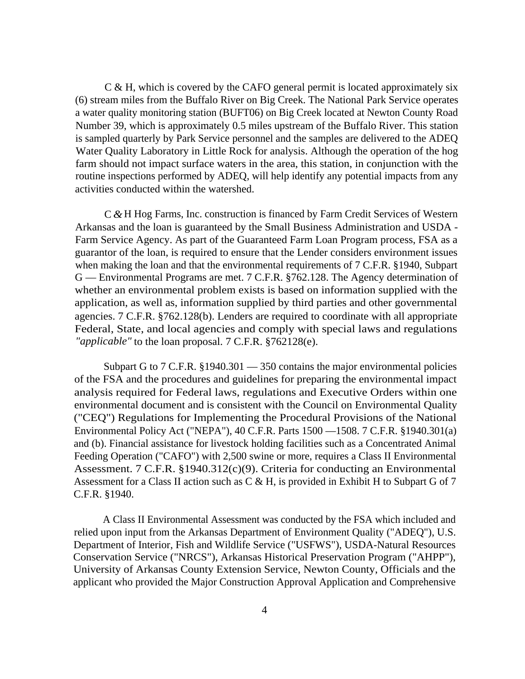C & H, which is covered by the CAFO general permit is located approximately six (6) stream miles from the Buffalo River on Big Creek. The National Park Service operates a water quality monitoring station (BUFT06) on Big Creek located at Newton County Road Number 39, which is approximately 0.5 miles upstream of the Buffalo River. This station is sampled quarterly by Park Service personnel and the samples are delivered to the ADEQ Water Quality Laboratory in Little Rock for analysis. Although the operation of the hog farm should not impact surface waters in the area, this station, in conjunction with the routine inspections performed by ADEQ, will help identify any potential impacts from any activities conducted within the watershed.

C *&* H Hog Farms, Inc. construction is financed by Farm Credit Services of Western Arkansas and the loan is guaranteed by the Small Business Administration and USDA - Farm Service Agency. As part of the Guaranteed Farm Loan Program process, FSA as a guarantor of the loan, is required to ensure that the Lender considers environment issues when making the loan and that the environmental requirements of 7 C.F.R. §1940, Subpart G — Environmental Programs are met. 7 C.F.R. §762.128. The Agency determination of whether an environmental problem exists is based on information supplied with the application, as well as, information supplied by third parties and other governmental agencies. 7 C.F.R. §762.128(b). Lenders are required to coordinate with all appropriate Federal, State, and local agencies and comply with special laws and regulations *"applicable"* to the loan proposal. 7 C.F.R. §762128(e).

Subpart G to 7 C.F.R. §1940.301 — 350 contains the major environmental policies of the FSA and the procedures and guidelines for preparing the environmental impact analysis required for Federal laws, regulations and Executive Orders within one environmental document and is consistent with the Council on Environmental Quality ("CEQ") Regulations for Implementing the Procedural Provisions of the National Environmental Policy Act ("NEPA"), 40 C.F.R. Parts 1500 —1508. 7 C.F.R. §1940.301(a) and (b). Financial assistance for livestock holding facilities such as a Concentrated Animal Feeding Operation ("CAFO") with 2,500 swine or more, requires a Class II Environmental Assessment. 7 C.F.R. §1940.312(c)(9). Criteria for conducting an Environmental Assessment for a Class II action such as C & H, is provided in Exhibit H to Subpart G of 7 C.F.R. §1940.

A Class II Environmental Assessment was conducted by the FSA which included and relied upon input from the Arkansas Department of Environment Quality ("ADEQ"), U.S. Department of Interior, Fish and Wildlife Service ("USFWS"), USDA-Natural Resources Conservation Service ("NRCS"), Arkansas Historical Preservation Program ("AHPP"), University of Arkansas County Extension Service, Newton County, Officials and the applicant who provided the Major Construction Approval Application and Comprehensive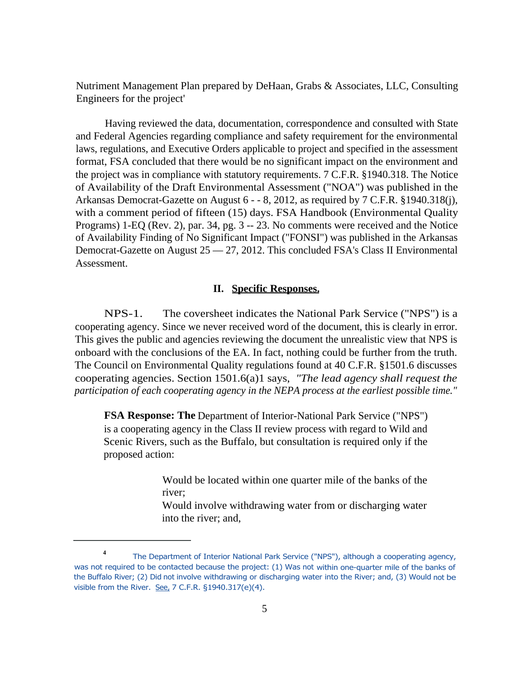Nutriment Management Plan prepared by DeHaan, Grabs & Associates, LLC, Consulting Engineers for the project'

Having reviewed the data, documentation, correspondence and consulted with State and Federal Agencies regarding compliance and safety requirement for the environmental laws, regulations, and Executive Orders applicable to project and specified in the assessment format, FSA concluded that there would be no significant impact on the environment and the project was in compliance with statutory requirements. 7 C.F.R. §1940.318. The Notice of Availability of the Draft Environmental Assessment ("NOA") was published in the Arkansas Democrat-Gazette on August 6 - - 8, 2012, as required by 7 C.F.R. §1940.318(j), with a comment period of fifteen (15) days. FSA Handbook (Environmental Quality Programs) 1-EQ (Rev. 2), par. 34, pg. 3 -- 23. No comments were received and the Notice of Availability Finding of No Significant Impact ("FONSI") was published in the Arkansas Democrat-Gazette on August 25 — 27, 2012. This concluded FSA's Class II Environmental Assessment.

## **II. Specific Responses.**

NPS-1. The coversheet indicates the National Park Service ("NPS") is a cooperating agency. Since we never received word of the document, this is clearly in error. This gives the public and agencies reviewing the document the unrealistic view that NPS is onboard with the conclusions of the EA. In fact, nothing could be further from the truth. The Council on Environmental Quality regulations found at 40 C.F.R. §1501.6 discusses cooperating agencies. Section 1501.6(a)1 says, *"The lead agency shall request the participation of each cooperating agency in the NEPA process at the earliest possible time."* 

**FSA Response: The** Department of Interior-National Park Service ("NPS") is a cooperating agency in the Class II review process with regard to Wild and Scenic Rivers, such as the Buffalo, but consultation is required only if the proposed action:

> Would be located within one quarter mile of the banks of the river;

> Would involve withdrawing water from or discharging water into the river; and,

**<sup>4</sup>**The Department of Interior National Park Service ("NPS"), although a cooperating agency, was not required to be contacted because the project: (1) Was not within one-quarter mile of the banks of the Buffalo River; (2) Did not involve withdrawing or discharging water into the River; and, (3) Would not be visible from the River. See, 7 C.F.R. §1940.317(e)(4).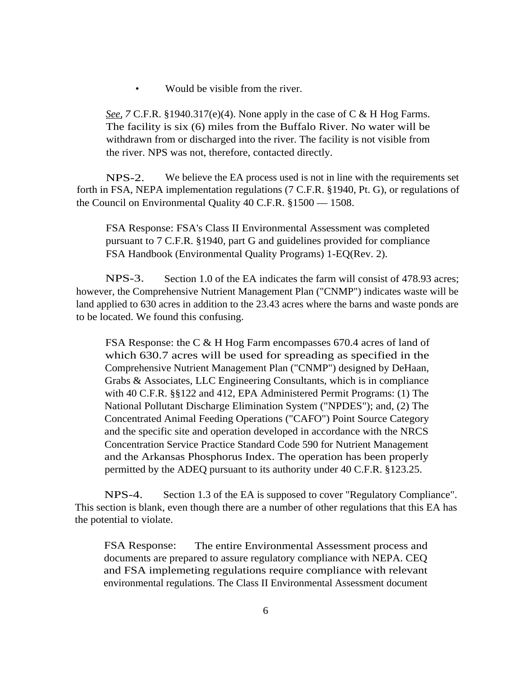• Would be visible from the river.

*See,7* C.F.R. §1940.317(e)(4). None apply in the case of C & H Hog Farms. The facility is six (6) miles from the Buffalo River. No water will be withdrawn from or discharged into the river. The facility is not visible from the river. NPS was not, therefore, contacted directly.

NPS-2. We believe the EA process used is not in line with the requirements set forth in FSA, NEPA implementation regulations (7 C.F.R. §1940, Pt. G), or regulations of the Council on Environmental Quality 40 C.F.R. §1500 — 1508.

FSA Response: FSA's Class II Environmental Assessment was completed pursuant to 7 C.F.R. §1940, part G and guidelines provided for compliance FSA Handbook (Environmental Quality Programs) 1-EQ(Rev. 2).

NPS-3. Section 1.0 of the EA indicates the farm will consist of 478.93 acres; however, the Comprehensive Nutrient Management Plan ("CNMP") indicates waste will be land applied to 630 acres in addition to the 23.43 acres where the barns and waste ponds are to be located. We found this confusing.

FSA Response: the C & H Hog Farm encompasses 670.4 acres of land of which 630.7 acres will be used for spreading as specified in the Comprehensive Nutrient Management Plan ("CNMP") designed by DeHaan, Grabs & Associates, LLC Engineering Consultants, which is in compliance with 40 C.F.R. §§122 and 412, EPA Administered Permit Programs: (1) The National Pollutant Discharge Elimination System ("NPDES"); and, (2) The Concentrated Animal Feeding Operations ("CAFO") Point Source Category and the specific site and operation developed in accordance with the NRCS Concentration Service Practice Standard Code 590 for Nutrient Management and the Arkansas Phosphorus Index. The operation has been properly permitted by the ADEQ pursuant to its authority under 40 C.F.R. §123.25.

NPS-4. Section 1.3 of the EA is supposed to cover "Regulatory Compliance". This section is blank, even though there are a number of other regulations that this EA has the potential to violate.

FSA Response: The entire Environmental Assessment process and documents are prepared to assure regulatory compliance with NEPA. CEQ and FSA implemeting regulations require compliance with relevant environmental regulations. The Class II Environmental Assessment document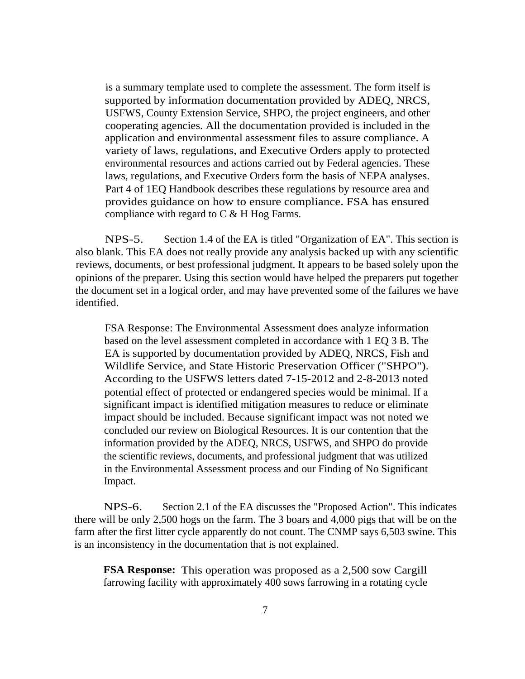is a summary template used to complete the assessment. The form itself is supported by information documentation provided by ADEQ, NRCS, USFWS, County Extension Service, SHPO, the project engineers, and other cooperating agencies. All the documentation provided is included in the application and environmental assessment files to assure compliance. A variety of laws, regulations, and Executive Orders apply to protected environmental resources and actions carried out by Federal agencies. These laws, regulations, and Executive Orders form the basis of NEPA analyses. Part 4 of 1EQ Handbook describes these regulations by resource area and provides guidance on how to ensure compliance. FSA has ensured compliance with regard to  $C & H$  Hog Farms.

NPS-5. Section 1.4 of the EA is titled "Organization of EA". This section is also blank. This EA does not really provide any analysis backed up with any scientific reviews, documents, or best professional judgment. It appears to be based solely upon the opinions of the preparer. Using this section would have helped the preparers put together the document set in a logical order, and may have prevented some of the failures we have identified.

FSA Response: The Environmental Assessment does analyze information based on the level assessment completed in accordance with 1 EQ 3 B. The EA is supported by documentation provided by ADEQ, NRCS, Fish and Wildlife Service, and State Historic Preservation Officer ("SHPO"). According to the USFWS letters dated 7-15-2012 and 2-8-2013 noted potential effect of protected or endangered species would be minimal. If a significant impact is identified mitigation measures to reduce or eliminate impact should be included. Because significant impact was not noted we concluded our review on Biological Resources. It is our contention that the information provided by the ADEQ, NRCS, USFWS, and SHPO do provide the scientific reviews, documents, and professional judgment that was utilized in the Environmental Assessment process and our Finding of No Significant Impact.

NPS-6. Section 2.1 of the EA discusses the "Proposed Action". This indicates there will be only 2,500 hogs on the farm. The 3 boars and 4,000 pigs that will be on the farm after the first litter cycle apparently do not count. The CNMP says 6,503 swine. This is an inconsistency in the documentation that is not explained.

**FSA Response:** This operation was proposed as a 2,500 sow Cargill farrowing facility with approximately 400 sows farrowing in a rotating cycle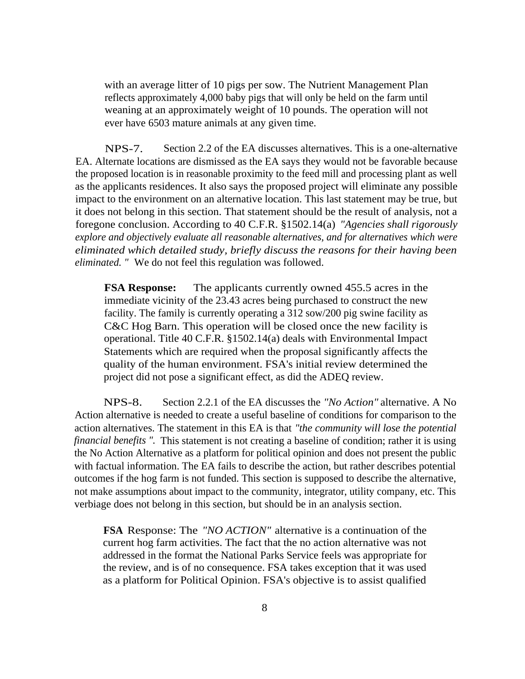with an average litter of 10 pigs per sow. The Nutrient Management Plan reflects approximately 4,000 baby pigs that will only be held on the farm until weaning at an approximately weight of 10 pounds. The operation will not ever have 6503 mature animals at any given time.

NPS-7. Section 2.2 of the EA discusses alternatives. This is a one-alternative EA. Alternate locations are dismissed as the EA says they would not be favorable because the proposed location is in reasonable proximity to the feed mill and processing plant as well as the applicants residences. It also says the proposed project will eliminate any possible impact to the environment on an alternative location. This last statement may be true, but it does not belong in this section. That statement should be the result of analysis, not a foregone conclusion. According to 40 C.F.R. §1502.14(a) *"Agencies shall rigorously explore and objectively evaluate all reasonable alternatives, and for alternatives which were eliminated which detailed study, briefly discuss the reasons for their having been eliminated. "* We do not feel this regulation was followed.

**FSA Response:** The applicants currently owned 455.5 acres in the immediate vicinity of the 23.43 acres being purchased to construct the new facility. The family is currently operating a 312 sow/200 pig swine facility as C&C Hog Barn. This operation will be closed once the new facility is operational. Title 40 C.F.R. §1502.14(a) deals with Environmental Impact Statements which are required when the proposal significantly affects the quality of the human environment. FSA's initial review determined the project did not pose a significant effect, as did the ADEQ review.

NPS-8. Section 2.2.1 of the EA discusses the *"No Action"* alternative. A No Action alternative is needed to create a useful baseline of conditions for comparison to the action alternatives. The statement in this EA is that *"the community will lose the potential financial benefits ".* This statement is not creating a baseline of condition; rather it is using the No Action Alternative as a platform for political opinion and does not present the public with factual information. The EA fails to describe the action, but rather describes potential outcomes if the hog farm is not funded. This section is supposed to describe the alternative, not make assumptions about impact to the community, integrator, utility company, etc. This verbiage does not belong in this section, but should be in an analysis section.

**FSA** Response: The *"NO ACTION"* alternative is a continuation of the current hog farm activities. The fact that the no action alternative was not addressed in the format the National Parks Service feels was appropriate for the review, and is of no consequence. FSA takes exception that it was used as a platform for Political Opinion. FSA's objective is to assist qualified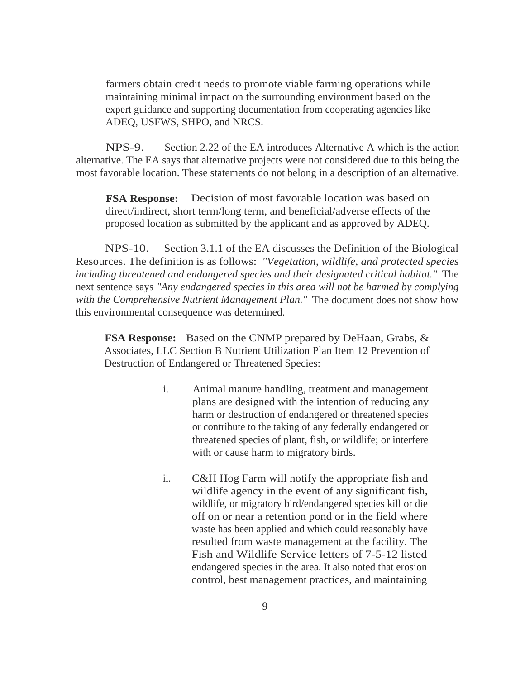farmers obtain credit needs to promote viable farming operations while maintaining minimal impact on the surrounding environment based on the expert guidance and supporting documentation from cooperating agencies like ADEQ, USFWS, SHPO, and NRCS.

NPS-9. Section 2.22 of the EA introduces Alternative A which is the action alternative. The EA says that alternative projects were not considered due to this being the most favorable location. These statements do not belong in a description of an alternative.

**FSA Response:** Decision of most favorable location was based on direct/indirect, short term/long term, and beneficial/adverse effects of the proposed location as submitted by the applicant and as approved by ADEQ.

NPS-10. Section 3.1.1 of the EA discusses the Definition of the Biological Resources. The definition is as follows: *"Vegetation, wildlife, and protected species including threatened and endangered species and their designated critical habitat."* The next sentence says *"Any endangered species in this area will not be harmed by complying with the Comprehensive Nutrient Management Plan."* The document does not show how this environmental consequence was determined.

**FSA Response:** Based on the CNMP prepared by DeHaan, Grabs, & Associates, LLC Section B Nutrient Utilization Plan Item 12 Prevention of Destruction of Endangered or Threatened Species:

- i. Animal manure handling, treatment and management plans are designed with the intention of reducing any harm or destruction of endangered or threatened species or contribute to the taking of any federally endangered or threatened species of plant, fish, or wildlife; or interfere with or cause harm to migratory birds.
- ii. C&H Hog Farm will notify the appropriate fish and wildlife agency in the event of any significant fish, wildlife, or migratory bird/endangered species kill or die off on or near a retention pond or in the field where waste has been applied and which could reasonably have resulted from waste management at the facility. The Fish and Wildlife Service letters of 7-5-12 listed endangered species in the area. It also noted that erosion control, best management practices, and maintaining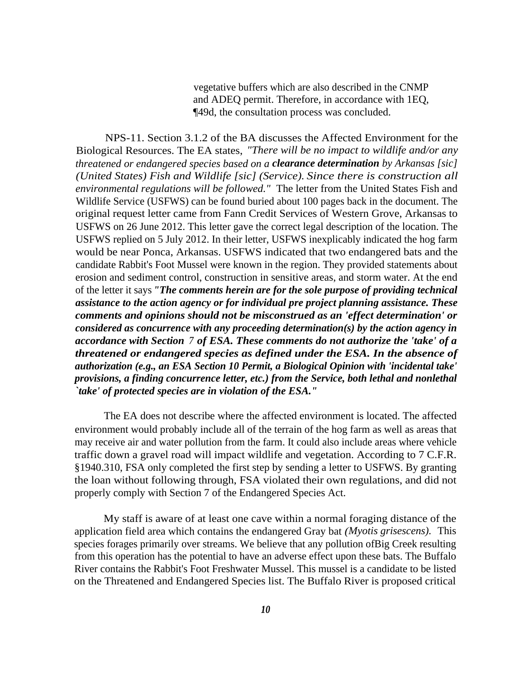vegetative buffers which are also described in the CNMP and ADEQ permit. Therefore, in accordance with 1EQ, ¶49d, the consultation process was concluded.

NPS-11. Section 3.1.2 of the BA discusses the Affected Environment for the Biological Resources. The EA states, *"There will be no impact to wildlife and/or any threatened or endangered species based on a clearance determination by Arkansas [sic] (United States) Fish and Wildlife [sic] (Service). Since there is construction all environmental regulations will be followed."* The letter from the United States Fish and Wildlife Service (USFWS) can be found buried about 100 pages back in the document. The original request letter came from Fann Credit Services of Western Grove, Arkansas to USFWS on 26 June 2012. This letter gave the correct legal description of the location. The USFWS replied on 5 July 2012. In their letter, USFWS inexplicably indicated the hog farm would be near Ponca, Arkansas. USFWS indicated that two endangered bats and the candidate Rabbit's Foot Mussel were known in the region. They provided statements about erosion and sediment control, construction in sensitive areas, and storm water. At the end of the letter it says *"The comments herein are for the sole purpose of providing technical assistance to the action agency or for individual pre project planning assistance. These comments and opinions should not be misconstrued as an 'effect determination' or considered as concurrence with any proceeding determination(s) by the action agency in accordance with Section 7 of ESA. These comments do not authorize the 'take' of a threatened or endangered species as defined under the ESA. In the absence of authorization (e.g., an ESA Section 10 Permit, a Biological Opinion with 'incidental take' provisions, a finding concurrence letter, etc.) from the Service, both lethal and nonlethal `take' of protected species are in violation of the ESA."* 

The EA does not describe where the affected environment is located. The affected environment would probably include all of the terrain of the hog farm as well as areas that may receive air and water pollution from the farm. It could also include areas where vehicle traffic down a gravel road will impact wildlife and vegetation. According to 7 C.F.R. §1940.310, FSA only completed the first step by sending a letter to USFWS. By granting the loan without following through, FSA violated their own regulations, and did not properly comply with Section 7 of the Endangered Species Act.

My staff is aware of at least one cave within a normal foraging distance of the application field area which contains the endangered Gray bat *(Myotis grisescens).* This species forages primarily over streams. We believe that any pollution ofBig Creek resulting from this operation has the potential to have an adverse effect upon these bats. The Buffalo River contains the Rabbit's Foot Freshwater Mussel. This mussel is a candidate to be listed on the Threatened and Endangered Species list. The Buffalo River is proposed critical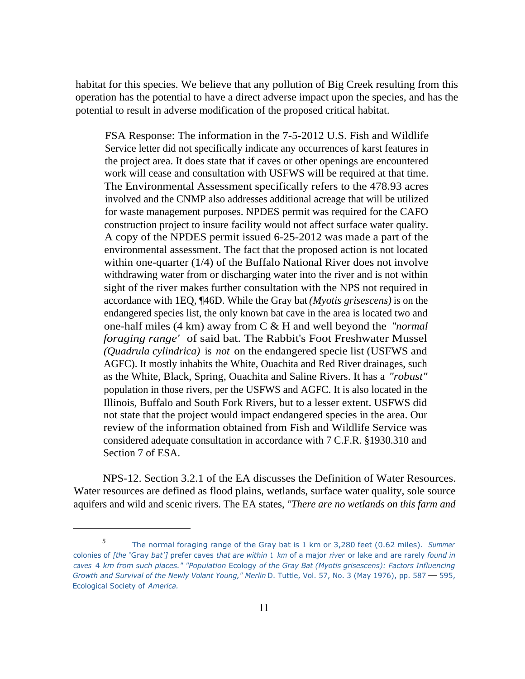habitat for this species. We believe that any pollution of Big Creek resulting from this operation has the potential to have a direct adverse impact upon the species, and has the potential to result in adverse modification of the proposed critical habitat.

FSA Response: The information in the 7-5-2012 U.S. Fish and Wildlife Service letter did not specifically indicate any occurrences of karst features in the project area. It does state that if caves or other openings are encountered work will cease and consultation with USFWS will be required at that time. The Environmental Assessment specifically refers to the 478.93 acres involved and the CNMP also addresses additional acreage that will be utilized for waste management purposes. NPDES permit was required for the CAFO construction project to insure facility would not affect surface water quality. A copy of the NPDES permit issued 6-25-2012 was made a part of the environmental assessment. The fact that the proposed action is not located within one-quarter (1/4) of the Buffalo National River does not involve withdrawing water from or discharging water into the river and is not within sight of the river makes further consultation with the NPS not required in accordance with 1EQ, ¶46D. While the Gray bat *(Myotis grisescens)* is on the endangered species list, the only known bat cave in the area is located two and one-half miles (4 km) away from C & H and well beyond the *"normal foraging range'* of said bat. The Rabbit's Foot Freshwater Mussel *(Quadrula cylindrica)* is *not* on the endangered specie list (USFWS and AGFC). It mostly inhabits the White, Ouachita and Red River drainages, such as the White, Black, Spring, Ouachita and Saline Rivers. It has a *"robust"*  population in those rivers, per the USFWS and AGFC. It is also located in the Illinois, Buffalo and South Fork Rivers, but to a lesser extent. USFWS did not state that the project would impact endangered species in the area. Our review of the information obtained from Fish and Wildlife Service was considered adequate consultation in accordance with 7 C.F.R. §1930.310 and Section 7 of ESA.

NPS-12. Section 3.2.1 of the EA discusses the Definition of Water Resources. Water resources are defined as flood plains, wetlands, surface water quality, sole source aquifers and wild and scenic rivers. The EA states, *"There are no wetlands on this farm and* 

<sup>5</sup>The normal foraging range of the Gray bat is 1 km or 3,280 feet (0.62 miles). *Summer*  colonies of *[the* 'Gray *bat']* prefer caves *that are within* 1 *km* of a major *river* or lake and are rarely *found in caves* 4 *km from such places." "Population* Ecology *of the Gray Bat (Myotis grisescens): Factors Influencing Growth and Survival of the Newly Volant Young," Merlin* D. Tuttle, Vol. 57, No. 3 (May 1976), pp. 587 — 595, Ecological Society of *America.*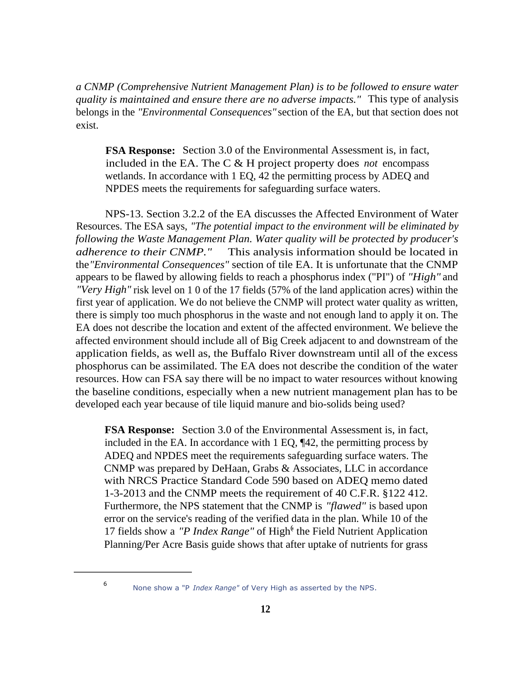*a CNMP (Comprehensive Nutrient Management Plan) is to be followed to ensure water quality is maintained and ensure there are no adverse impacts."* This type of analysis belongs in the *"Environmental Consequences"* section of the EA, but that section does not exist.

**FSA Response:** Section 3.0 of the Environmental Assessment is, in fact, included in the EA. The C & H project property does *not* encompass wetlands. In accordance with 1 EQ, 42 the permitting process by ADEQ and NPDES meets the requirements for safeguarding surface waters.

NPS-13. Section 3.2.2 of the EA discusses the Affected Environment of Water Resources. The ESA says, *"The potential impact to the environment will be eliminated by following the Waste Management Plan. Water quality will be protected by producer's adherence to their CNMP."* This analysis information should be located in the *"Environmental Consequences"* section of tile EA. It is unfortunate that the CNMP appears to be flawed by allowing fields to reach a phosphorus index ("PI") of *"High"* and *"Very High"* risk level on 1 0 of the 17 fields (57% of the land application acres) within the first year of application. We do not believe the CNMP will protect water quality as written, there is simply too much phosphorus in the waste and not enough land to apply it on. The EA does not describe the location and extent of the affected environment. We believe the affected environment should include all of Big Creek adjacent to and downstream of the application fields, as well as, the Buffalo River downstream until all of the excess phosphorus can be assimilated. The EA does not describe the condition of the water resources. How can FSA say there will be no impact to water resources without knowing the baseline conditions, especially when a new nutrient management plan has to be developed each year because of tile liquid manure and bio-solids being used?

**FSA Response:** Section 3.0 of the Environmental Assessment is, in fact, included in the EA. In accordance with 1 EQ, ¶42, the permitting process by ADEQ and NPDES meet the requirements safeguarding surface waters. The CNMP was prepared by DeHaan, Grabs & Associates, LLC in accordance with NRCS Practice Standard Code 590 based on ADEQ memo dated 1-3-2013 and the CNMP meets the requirement of 40 C.F.R. §122 412. Furthermore, the NPS statement that the CNMP is *"flawed"* is based upon error on the service's reading of the verified data in the plan. While 10 of the 17 fields show a "P Index Range" of High<sup>(t</sup> the Field Nutrient Application Planning/Per Acre Basis guide shows that after uptake of nutrients for grass

<sup>&</sup>lt;sup>6</sup> None show a "P *Index Range"* of Very High as asserted by the NPS.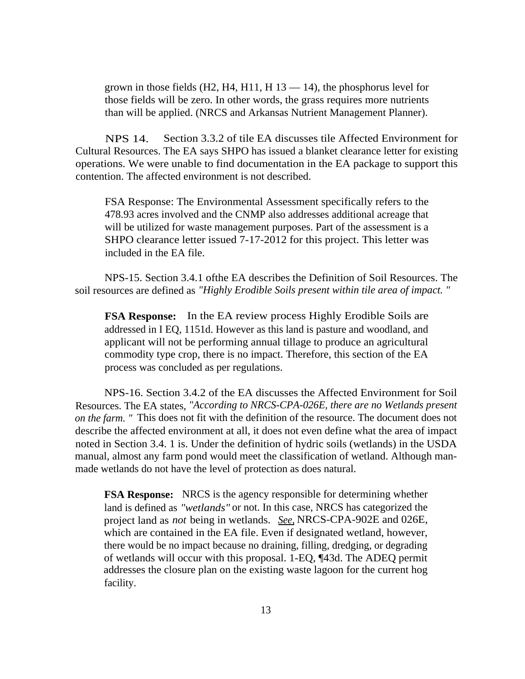grown in those fields (H2, H4, H11, H  $13 - 14$ ), the phosphorus level for those fields will be zero. In other words, the grass requires more nutrients than will be applied. (NRCS and Arkansas Nutrient Management Planner).

NPS 14. Section 3.3.2 of tile EA discusses tile Affected Environment for Cultural Resources. The EA says SHPO has issued a blanket clearance letter for existing operations. We were unable to find documentation in the EA package to support this contention. The affected environment is not described.

FSA Response: The Environmental Assessment specifically refers to the 478.93 acres involved and the CNMP also addresses additional acreage that will be utilized for waste management purposes. Part of the assessment is a SHPO clearance letter issued 7-17-2012 for this project. This letter was included in the EA file.

NPS-15. Section 3.4.1 ofthe EA describes the Definition of Soil Resources. The soil resources are defined as *"Highly Erodible Soils present within tile area of impact. "* 

**FSA Response:** In the EA review process Highly Erodible Soils are addressed in I EQ, 1151d. However as this land is pasture and woodland, and applicant will not be performing annual tillage to produce an agricultural commodity type crop, there is no impact. Therefore, this section of the EA process was concluded as per regulations.

NPS-16. Section 3.4.2 of the EA discusses the Affected Environment for Soil Resources. The EA states, *"According to NRCS-CPA-026E, there are no Wetlands present on the farm. "* This does not fit with the definition of the resource. The document does not describe the affected environment at all, it does not even define what the area of impact noted in Section 3.4. 1 is. Under the definition of hydric soils (wetlands) in the USDA manual, almost any farm pond would meet the classification of wetland. Although manmade wetlands do not have the level of protection as does natural.

**FSA Response:** NRCS is the agency responsible for determining whether land is defined as *"wetlands"* or not. In this case, NRCS has categorized the project land as *not* being in wetlands. *See,* NRCS-CPA-902E and 026E, which are contained in the EA file. Even if designated wetland, however, there would be no impact because no draining, filling, dredging, or degrading of wetlands will occur with this proposal. 1-EQ, ¶43d. The ADEQ permit addresses the closure plan on the existing waste lagoon for the current hog facility.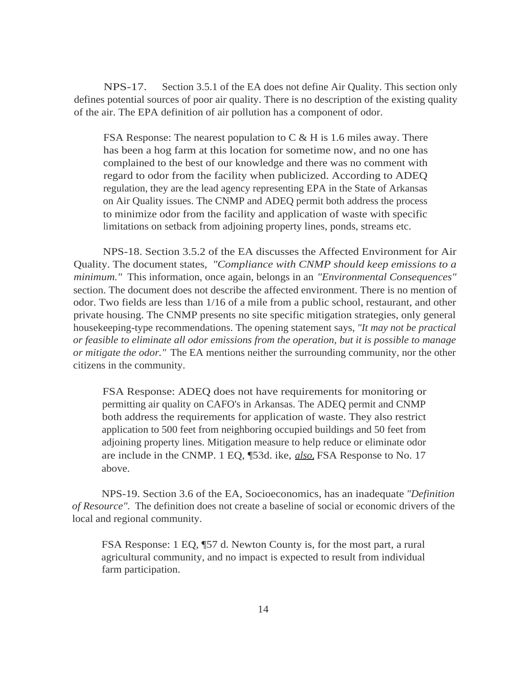NPS-17. Section 3.5.1 of the EA does not define Air Quality. This section only defines potential sources of poor air quality. There is no description of the existing quality of the air. The EPA definition of air pollution has a component of odor.

FSA Response: The nearest population to  $C & H$  is 1.6 miles away. There has been a hog farm at this location for sometime now, and no one has complained to the best of our knowledge and there was no comment with regard to odor from the facility when publicized. According to ADEQ regulation, they are the lead agency representing EPA in the State of Arkansas on Air Quality issues. The CNMP and ADEQ permit both address the process to minimize odor from the facility and application of waste with specific limitations on setback from adjoining property lines, ponds, streams etc.

NPS-18. Section 3.5.2 of the EA discusses the Affected Environment for Air Quality. The document states, *"Compliance with CNMP should keep emissions to a minimum."* This information, once again, belongs in an *"Environmental Consequences"*  section. The document does not describe the affected environment. There is no mention of odor. Two fields are less than 1/16 of a mile from a public school, restaurant, and other private housing. The CNMP presents no site specific mitigation strategies, only general housekeeping-type recommendations. The opening statement says, *"It may not be practical or feasible to eliminate all odor emissions from the operation, but it is possible to manage or mitigate the odor."* The EA mentions neither the surrounding community, nor the other citizens in the community.

FSA Response: ADEQ does not have requirements for monitoring or permitting air quality on CAFO's in Arkansas. The ADEQ permit and CNMP both address the requirements for application of waste. They also restrict application to 500 feet from neighboring occupied buildings and 50 feet from adjoining property lines. Mitigation measure to help reduce or eliminate odor are include in the CNMP. 1 EQ, ¶53d. ike, *also,* FSA Response to No. 17 above.

NPS-19. Section 3.6 of the EA, Socioeconomics, has an inadequate *"Definition of Resource".* The definition does not create a baseline of social or economic drivers of the local and regional community.

FSA Response: 1 EQ, ¶57 d. Newton County is, for the most part, a rural agricultural community, and no impact is expected to result from individual farm participation.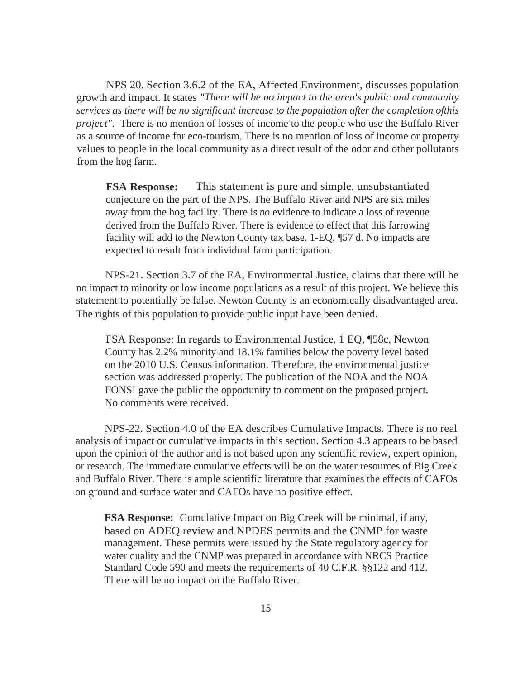NPS 20. Section 3.6.2 of the EA, Affected Environment, discusses population growth and impact. It states *"There will be no impact to the area's public and community services as there will be no significant increase to the population after the completion ofthis project"*. There is no mention of losses of income to the people who use the Buffalo River as a source of income for eco-tourism. There is no mention of loss of income or property values to people in the local community as a direct result of the odor and other pollutants from the hog farm.

**FSA Response:** This statement is pure and simple, unsubstantiated conjecture on the part of the NPS. The Buffalo River and NPS are six miles away from the hog facility. There is *no* evidence to indicate a loss of revenue derived from the Buffalo River. There is evidence to effect that this farrowing facility will add to the Newton County tax base. 1-EQ, ¶57 d. No impacts are expected to result from individual farm participation.

NPS-21. Section 3.7 of the EA, Environmental Justice, claims that there will he no impact to minority or low income populations as a result of this project. We believe this statement to potentially be false. Newton County is an economically disadvantaged area. The rights of this population to provide public input have been denied.

FSA Response: In regards to Environmental Justice, 1 EQ, ¶58c, Newton County has 2.2% minority and 18.1% families below the poverty level based on the 2010 U.S. Census information. Therefore, the environmental justice section was addressed properly. The publication of the NOA and the NOA FONSI gave the public the opportunity to comment on the proposed project. No comments were received.

NPS-22. Section 4.0 of the EA describes Cumulative Impacts. There is no real analysis of impact or cumulative impacts in this section. Section 4.3 appears to be based upon the opinion of the author and is not based upon any scientific review, expert opinion, or research. The immediate cumulative effects will be on the water resources of Big Creek and Buffalo River. There is ample scientific literature that examines the effects of CAFOs on ground and surface water and CAFOs have no positive effect.

**FSA Response:** Cumulative Impact on Big Creek will be minimal, if any, based on ADEQ review and NPDES permits and the CNMP for waste management. These permits were issued by the State regulatory agency for water quality and the CNMP was prepared in accordance with NRCS Practice Standard Code 590 and meets the requirements of 40 C.F.R. §§122 and 412. There will be no impact on the Buffalo River.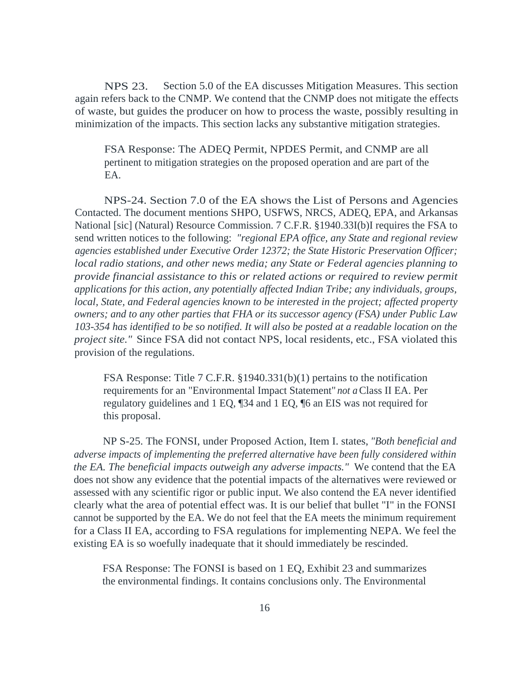NPS 23. Section 5.0 of the EA discusses Mitigation Measures. This section again refers back to the CNMP. We contend that the CNMP does not mitigate the effects of waste, but guides the producer on how to process the waste, possibly resulting in minimization of the impacts. This section lacks any substantive mitigation strategies.

FSA Response: The ADEQ Permit, NPDES Permit, and CNMP are all pertinent to mitigation strategies on the proposed operation and are part of the EA.

NPS-24. Section 7.0 of the EA shows the List of Persons and Agencies Contacted. The document mentions SHPO, USFWS, NRCS, ADEQ, EPA, and Arkansas National [sic] (Natural) Resource Commission. 7 C.F.R. §1940.33I(b)I requires the FSA to send written notices to the following: *"regional EPA office, any State and regional review agencies established under Executive Order 12372; the State Historic Preservation Officer; local radio stations, and other news media; any State or Federal agencies planning to provide financial assistance to this or related actions or required to review permit applications for this action, any potentially affected Indian Tribe; any individuals, groups, local, State, and Federal agencies known to be interested in the project; affected property owners; and to any other parties that FHA or its successor agency (FSA) under Public Law 103-354 has identified to be so notified. It will also be posted at a readable location on the project site."* Since FSA did not contact NPS, local residents, etc., FSA violated this provision of the regulations.

FSA Response: Title 7 C.F.R. §1940.331(b)(1) pertains to the notification requirements for an "Environmental Impact Statement" *not a* Class II EA. Per regulatory guidelines and 1 EQ, ¶34 and 1 EQ, ¶6 an EIS was not required for this proposal.

NP S-25. The FONSI, under Proposed Action, Item I. states, *"Both beneficial and adverse impacts of implementing the preferred alternative have been fully considered within the EA. The beneficial impacts outweigh any adverse impacts."* We contend that the EA does not show any evidence that the potential impacts of the alternatives were reviewed or assessed with any scientific rigor or public input. We also contend the EA never identified clearly what the area of potential effect was. It is our belief that bullet "I" in the FONSI cannot be supported by the EA. We do not feel that the EA meets the minimum requirement for a Class II EA, according to FSA regulations for implementing NEPA. We feel the existing EA is so woefully inadequate that it should immediately be rescinded.

FSA Response: The FONSI is based on 1 EQ, Exhibit 23 and summarizes the environmental findings. It contains conclusions only. The Environmental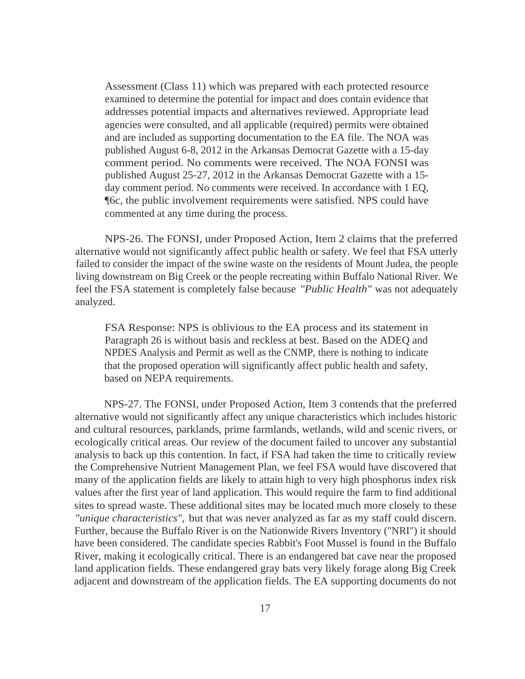Assessment (Class 11) which was prepared with each protected resource examined to determine the potential for impact and does contain evidence that addresses potential impacts and alternatives reviewed. Appropriate lead agencies were consulted, and all applicable (required) permits were obtained and are included as supporting documentation to the EA file. The NOA was published August 6-8, 2012 in the Arkansas Democrat Gazette with a 15-day comment period. No comments were received. The NOA FONSI was published August 25-27, 2012 in the Arkansas Democrat Gazette with a 15 day comment period. No comments were received. In accordance with 1 EQ, ¶6c, the public involvement requirements were satisfied. NPS could have commented at any time during the process.

NPS-26. The FONSI, under Proposed Action, Item 2 claims that the preferred alternative would not significantly affect public health or safety. We feel that FSA utterly failed to consider the impact of the swine waste on the residents of Mount Judea, the people living downstream on Big Creek or the people recreating within Buffalo National River. We feel the FSA statement is completely false because *"Public Health"* was not adequately analyzed.

FSA Response: NPS is oblivious to the EA process and its statement in Paragraph 26 is without basis and reckless at best. Based on the ADEQ and NPDES Analysis and Permit as well as the CNMP, there is nothing to indicate that the proposed operation will significantly affect public health and safety, based on NEPA requirements.

NPS-27. The FONSI, under Proposed Action, Item 3 contends that the preferred alternative would not significantly affect any unique characteristics which includes historic and cultural resources, parklands, prime farmlands, wetlands, wild and scenic rivers, or ecologically critical areas. Our review of the document failed to uncover any substantial analysis to back up this contention. In fact, if FSA had taken the time to critically review the Comprehensive Nutrient Management Plan, we feel FSA would have discovered that many of the application fields are likely to attain high to very high phosphorus index risk values after the first year of land application. This would require the farm to find additional sites to spread waste. These additional sites may be located much more closely to these *"unique characteristics",* but that was never analyzed as far as my staff could discern. Further, because the Buffalo River is on the Nationwide Rivers Inventory ("NRI") it should have been considered. The candidate species Rabbit's Foot Mussel is found in the Buffalo River, making it ecologically critical. There is an endangered bat cave near the proposed land application fields. These endangered gray bats very likely forage along Big Creek adjacent and downstream of the application fields. The EA supporting documents do not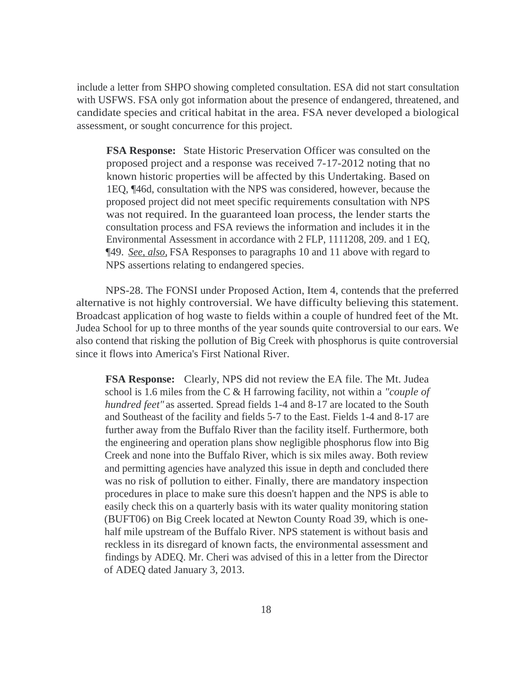include a letter from SHPO showing completed consultation. ESA did not start consultation with USFWS. FSA only got information about the presence of endangered, threatened, and candidate species and critical habitat in the area. FSA never developed a biological assessment, or sought concurrence for this project.

**FSA Response:** State Historic Preservation Officer was consulted on the proposed project and a response was received 7-17-2012 noting that no known historic properties will be affected by this Undertaking. Based on 1EQ, ¶46d, consultation with the NPS was considered, however, because the proposed project did not meet specific requirements consultation with NPS was not required. In the guaranteed loan process, the lender starts the consultation process and FSA reviews the information and includes it in the Environmental Assessment in accordance with 2 FLP, 1111208, 209. and 1 EQ, ¶49. *See, also,* FSA Responses to paragraphs 10 and 11 above with regard to NPS assertions relating to endangered species.

NPS-28. The FONSI under Proposed Action, Item 4, contends that the preferred alternative is not highly controversial. We have difficulty believing this statement. Broadcast application of hog waste to fields within a couple of hundred feet of the Mt. Judea School for up to three months of the year sounds quite controversial to our ears. We also contend that risking the pollution of Big Creek with phosphorus is quite controversial since it flows into America's First National River.

**FSA Response:** Clearly, NPS did not review the EA file. The Mt. Judea school is 1.6 miles from the C & H farrowing facility, not within a *"couple of hundred feet"* as asserted. Spread fields 1-4 and 8-17 are located to the South and Southeast of the facility and fields 5-7 to the East. Fields 1-4 and 8-17 are further away from the Buffalo River than the facility itself. Furthermore, both the engineering and operation plans show negligible phosphorus flow into Big Creek and none into the Buffalo River, which is six miles away. Both review and permitting agencies have analyzed this issue in depth and concluded there was no risk of pollution to either. Finally, there are mandatory inspection procedures in place to make sure this doesn't happen and the NPS is able to easily check this on a quarterly basis with its water quality monitoring station (BUFT06) on Big Creek located at Newton County Road 39, which is onehalf mile upstream of the Buffalo River. NPS statement is without basis and reckless in its disregard of known facts, the environmental assessment and findings by ADEQ. Mr. Cheri was advised of this in a letter from the Director of ADEQ dated January 3, 2013.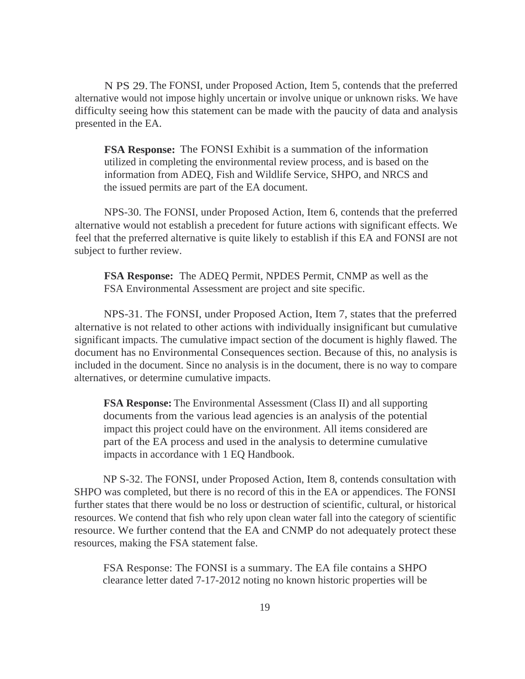N PS 29. The FONSI, under Proposed Action, Item 5, contends that the preferred alternative would not impose highly uncertain or involve unique or unknown risks. We have difficulty seeing how this statement can be made with the paucity of data and analysis presented in the EA.

**FSA Response:** The FONSI Exhibit is a summation of the information utilized in completing the environmental review process, and is based on the information from ADEQ, Fish and Wildlife Service, SHPO, and NRCS and the issued permits are part of the EA document.

NPS-30. The FONSI, under Proposed Action, Item 6, contends that the preferred alternative would not establish a precedent for future actions with significant effects. We feel that the preferred alternative is quite likely to establish if this EA and FONSI are not subject to further review.

**FSA Response:** The ADEQ Permit, NPDES Permit, CNMP as well as the FSA Environmental Assessment are project and site specific.

NPS-31. The FONSI, under Proposed Action, Item 7, states that the preferred alternative is not related to other actions with individually insignificant but cumulative significant impacts. The cumulative impact section of the document is highly flawed. The document has no Environmental Consequences section. Because of this, no analysis is included in the document. Since no analysis is in the document, there is no way to compare alternatives, or determine cumulative impacts.

**FSA Response:** The Environmental Assessment (Class II) and all supporting documents from the various lead agencies is an analysis of the potential impact this project could have on the environment. All items considered are part of the EA process and used in the analysis to determine cumulative impacts in accordance with 1 EQ Handbook.

NP S-32. The FONSI, under Proposed Action, Item 8, contends consultation with SHPO was completed, but there is no record of this in the EA or appendices. The FONSI further states that there would be no loss or destruction of scientific, cultural, or historical resources. We contend that fish who rely upon clean water fall into the category of scientific resource. We further contend that the EA and CNMP do not adequately protect these resources, making the FSA statement false.

FSA Response: The FONSI is a summary. The EA file contains a SHPO clearance letter dated 7-17-2012 noting no known historic properties will be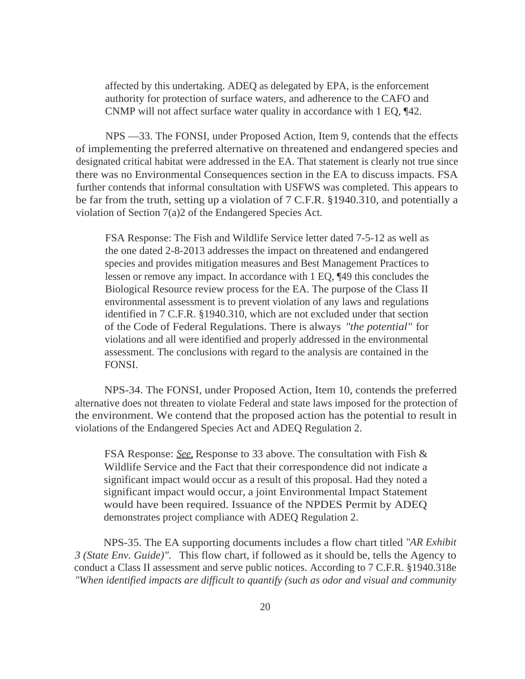affected by this undertaking. ADEQ as delegated by EPA, is the enforcement authority for protection of surface waters, and adherence to the CAFO and CNMP will not affect surface water quality in accordance with 1 EQ, ¶42.

NPS —33. The FONSI, under Proposed Action, Item 9, contends that the effects of implementing the preferred alternative on threatened and endangered species and designated critical habitat were addressed in the EA. That statement is clearly not true since there was no Environmental Consequences section in the EA to discuss impacts. FSA further contends that informal consultation with USFWS was completed. This appears to be far from the truth, setting up a violation of 7 C.F.R. §1940.310, and potentially a violation of Section 7(a)2 of the Endangered Species Act.

FSA Response: The Fish and Wildlife Service letter dated 7-5-12 as well as the one dated 2-8-2013 addresses the impact on threatened and endangered species and provides mitigation measures and Best Management Practices to lessen or remove any impact. In accordance with 1 EQ, ¶49 this concludes the Biological Resource review process for the EA. The purpose of the Class II environmental assessment is to prevent violation of any laws and regulations identified in 7 C.F.R. §1940.310, which are not excluded under that section of the Code of Federal Regulations. There is always *"the potential"* for violations and all were identified and properly addressed in the environmental assessment. The conclusions with regard to the analysis are contained in the FONSI.

NPS-34. The FONSI, under Proposed Action, Item 10, contends the preferred alternative does not threaten to violate Federal and state laws imposed for the protection of the environment. We contend that the proposed action has the potential to result in violations of the Endangered Species Act and ADEQ Regulation 2.

FSA Response: *See,* Response to 33 above. The consultation with Fish & Wildlife Service and the Fact that their correspondence did not indicate a significant impact would occur as a result of this proposal. Had they noted a significant impact would occur, a joint Environmental Impact Statement would have been required. Issuance of the NPDES Permit by ADEQ demonstrates project compliance with ADEQ Regulation 2.

NPS-35. The EA supporting documents includes a flow chart titled *"AR Exhibit 3 (State Env. Guide)".* This flow chart, if followed as it should be, tells the Agency to conduct a Class II assessment and serve public notices. According to 7 C.F.R. §1940.318e *"When identified impacts are difficult to quantify (such as odor and visual and community*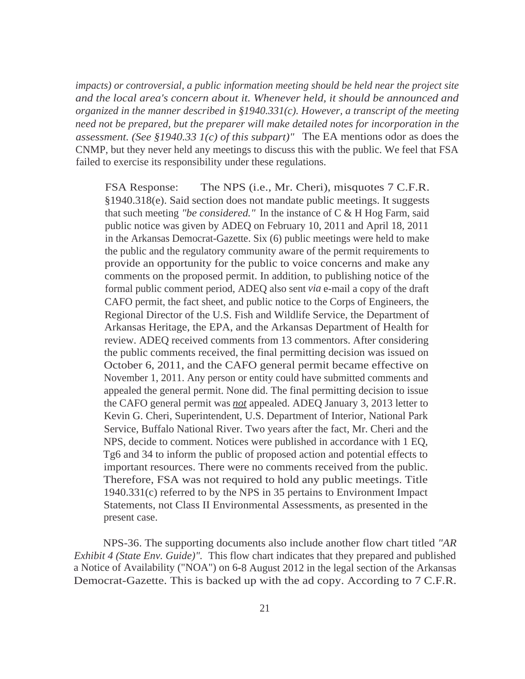*impacts) or controversial, a public information meeting should be held near the project site and the local area's concern about it. Whenever held, it should be announced and organized in the manner described in §1940.331(c). However, a transcript of the meeting need not be prepared, but the preparer will make detailed notes for incorporation in the assessment. (See §1940.33 1(c) of this subpart)"* The EA mentions odor as does the CNMP, but they never held any meetings to discuss this with the public. We feel that FSA failed to exercise its responsibility under these regulations.

FSA Response: The NPS (i.e., Mr. Cheri), misquotes 7 C.F.R. §1940.318(e). Said section does not mandate public meetings. It suggests that such meeting *"be considered."* In the instance of C & H Hog Farm, said public notice was given by ADEQ on February 10, 2011 and April 18, 2011 in the Arkansas Democrat-Gazette. Six (6) public meetings were held to make the public and the regulatory community aware of the permit requirements to provide an opportunity for the public to voice concerns and make any comments on the proposed permit. In addition, to publishing notice of the formal public comment period, ADEQ also sent *via* e-mail a copy of the draft CAFO permit, the fact sheet, and public notice to the Corps of Engineers, the Regional Director of the U.S. Fish and Wildlife Service, the Department of Arkansas Heritage, the EPA, and the Arkansas Department of Health for review. ADEQ received comments from 13 commentors. After considering the public comments received, the final permitting decision was issued on October 6, 2011, and the CAFO general permit became effective on November 1, 2011. Any person or entity could have submitted comments and appealed the general permit. None did. The final permitting decision to issue the CAFO general permit was *not* appealed. ADEQ January 3, 2013 letter to Kevin G. Cheri, Superintendent, U.S. Department of Interior, National Park Service, Buffalo National River. Two years after the fact, Mr. Cheri and the NPS, decide to comment. Notices were published in accordance with 1 EQ, Tg6 and 34 to inform the public of proposed action and potential effects to important resources. There were no comments received from the public. Therefore, FSA was not required to hold any public meetings. Title 1940.331(c) referred to by the NPS in 35 pertains to Environment Impact Statements, not Class II Environmental Assessments, as presented in the present case.

NPS-36. The supporting documents also include another flow chart titled *"AR Exhibit 4 (State Env. Guide)".* This flow chart indicates that they prepared and published a Notice of Availability ("NOA") on 6-8 August 2012 in the legal section of the Arkansas Democrat-Gazette. This is backed up with the ad copy. According to 7 C.F.R.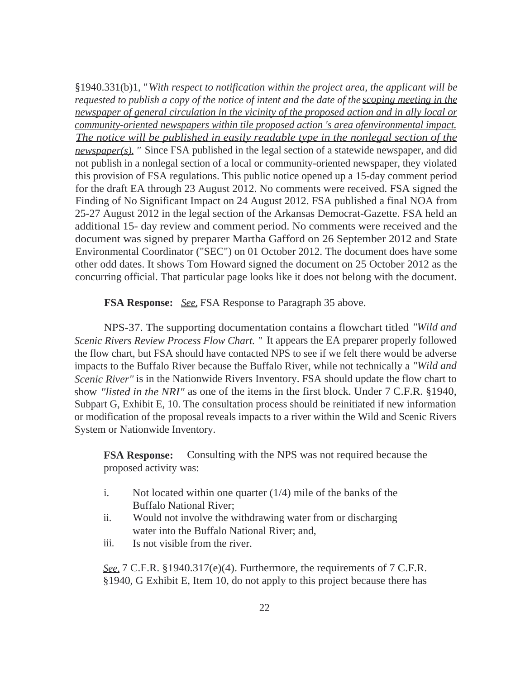§1940.331(b)1, "*With respect to notification within the project area, the applicant will be requested to publish a copy of the notice of intent and the date of the scoping meeting in the newspaper of general circulation in the vicinity of the proposed action and in ally local or community-oriented newspapers within tile proposed action 's area ofenvironmental impact. The notice will be published in easily readable type in the nonlegal section of the newspaper(s). "* Since FSA published in the legal section of a statewide newspaper, and did not publish in a nonlegal section of a local or community-oriented newspaper, they violated this provision of FSA regulations. This public notice opened up a 15-day comment period for the draft EA through 23 August 2012. No comments were received. FSA signed the Finding of No Significant Impact on 24 August 2012. FSA published a final NOA from 25-27 August 2012 in the legal section of the Arkansas Democrat-Gazette. FSA held an additional 15- day review and comment period. No comments were received and the document was signed by preparer Martha Gafford on 26 September 2012 and State Environmental Coordinator ("SEC") on 01 October 2012. The document does have some other odd dates. It shows Tom Howard signed the document on 25 October 2012 as the concurring official. That particular page looks like it does not belong with the document.

**FSA Response:** *See,* FSA Response to Paragraph 35 above.

NPS-37. The supporting documentation contains a flowchart titled *"Wild and Scenic Rivers Review Process Flow Chart. "* It appears the EA preparer properly followed the flow chart, but FSA should have contacted NPS to see if we felt there would be adverse impacts to the Buffalo River because the Buffalo River, while not technically a *"Wild and Scenic River*" is in the Nationwide Rivers Inventory. FSA should update the flow chart to show *"listed in the NRI"* as one of the items in the first block. Under 7 C.F.R. §1940, Subpart G, Exhibit E, 10. The consultation process should be reinitiated if new information or modification of the proposal reveals impacts to a river within the Wild and Scenic Rivers System or Nationwide Inventory.

**FSA Response:** Consulting with the NPS was not required because the proposed activity was:

- i. Not located within one quarter (1/4) mile of the banks of the Buffalo National River;
- ii. Would not involve the withdrawing water from or discharging water into the Buffalo National River; and,
- iii. Is not visible from the river.

*See,* 7 C.F.R. §1940.317(e)(4). Furthermore, the requirements of 7 C.F.R. §1940, G Exhibit E, Item 10, do not apply to this project because there has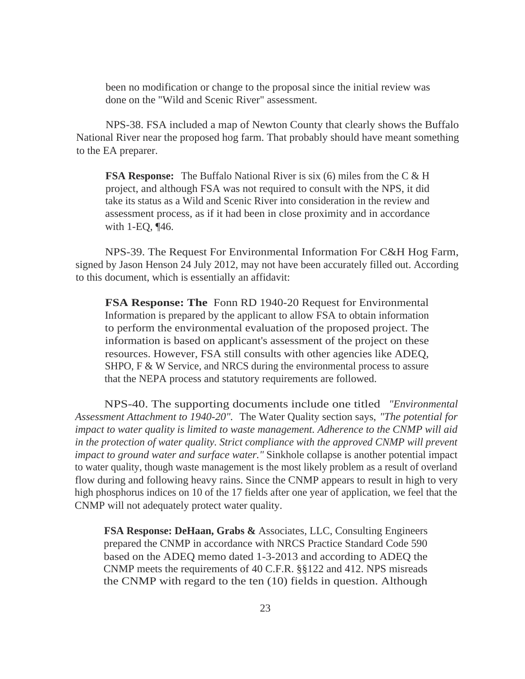been no modification or change to the proposal since the initial review was done on the "Wild and Scenic River" assessment.

NPS-38. FSA included a map of Newton County that clearly shows the Buffalo National River near the proposed hog farm. That probably should have meant something to the EA preparer.

**FSA Response:** The Buffalo National River is six (6) miles from the C & H project, and although FSA was not required to consult with the NPS, it did take its status as a Wild and Scenic River into consideration in the review and assessment process, as if it had been in close proximity and in accordance with 1-EQ, ¶46.

NPS-39. The Request For Environmental Information For C&H Hog Farm, signed by Jason Henson 24 July 2012, may not have been accurately filled out. According to this document, which is essentially an affidavit:

**FSA Response: The** Fonn RD 1940-20 Request for Environmental Information is prepared by the applicant to allow FSA to obtain information to perform the environmental evaluation of the proposed project. The information is based on applicant's assessment of the project on these resources. However, FSA still consults with other agencies like ADEQ, SHPO, F & W Service, and NRCS during the environmental process to assure that the NEPA process and statutory requirements are followed.

NPS-40. The supporting documents include one titled *"Environmental Assessment Attachment to 1940-20".* The Water Quality section says, *"The potential for impact to water quality is limited to waste management. Adherence to the CNMP will aid*  in the protection of water quality. Strict compliance with the approved CNMP will prevent *impact to ground water and surface water."* Sinkhole collapse is another potential impact to water quality, though waste management is the most likely problem as a result of overland flow during and following heavy rains. Since the CNMP appears to result in high to very high phosphorus indices on 10 of the 17 fields after one year of application, we feel that the CNMP will not adequately protect water quality.

**FSA Response: DeHaan, Grabs &** Associates, LLC, Consulting Engineers prepared the CNMP in accordance with NRCS Practice Standard Code 590 based on the ADEQ memo dated 1-3-2013 and according to ADEQ the CNMP meets the requirements of 40 C.F.R. §§122 and 412. NPS misreads the CNMP with regard to the ten (10) fields in question. Although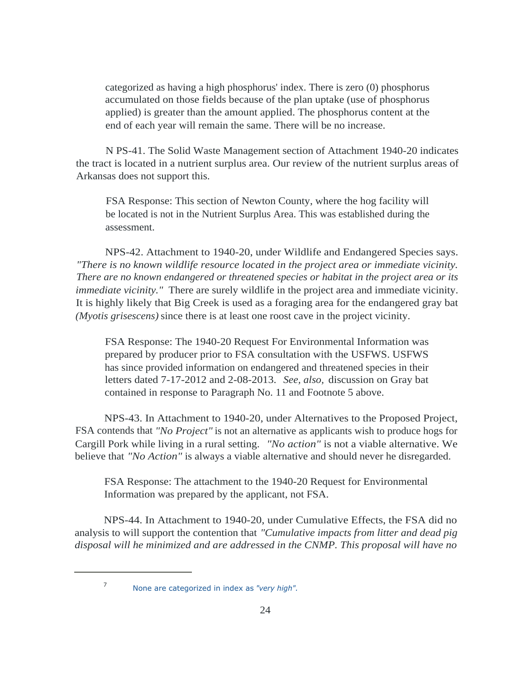categorized as having a high phosphorus' index. There is zero (0) phosphorus accumulated on those fields because of the plan uptake (use of phosphorus applied) is greater than the amount applied. The phosphorus content at the end of each year will remain the same. There will be no increase.

N PS-41. The Solid Waste Management section of Attachment 1940-20 indicates the tract is located in a nutrient surplus area. Our review of the nutrient surplus areas of Arkansas does not support this.

FSA Response: This section of Newton County, where the hog facility will be located is not in the Nutrient Surplus Area. This was established during the assessment.

NPS-42. Attachment to 1940-20, under Wildlife and Endangered Species says. *"There is no known wildlife resource located in the project area or immediate vicinity. There are no known endangered or threatened species or habitat in the project area or its immediate vicinity.*" There are surely wildlife in the project area and immediate vicinity. It is highly likely that Big Creek is used as a foraging area for the endangered gray bat *(Myotis grisescens)* since there is at least one roost cave in the project vicinity.

FSA Response: The 1940-20 Request For Environmental Information was prepared by producer prior to FSA consultation with the USFWS. USFWS has since provided information on endangered and threatened species in their letters dated 7-17-2012 and 2-08-2013. *See, also,* discussion on Gray bat contained in response to Paragraph No. 11 and Footnote 5 above.

NPS-43. In Attachment to 1940-20, under Alternatives to the Proposed Project, FSA contends that *"No Project"* is not an alternative as applicants wish to produce hogs for Cargill Pork while living in a rural setting. *"No action"* is not a viable alternative. We believe that *"No Action"* is always a viable alternative and should never he disregarded.

FSA Response: The attachment to the 1940-20 Request for Environmental Information was prepared by the applicant, not FSA.

NPS-44. In Attachment to 1940-20, under Cumulative Effects, the FSA did no analysis to will support the contention that *"Cumulative impacts from litter and dead pig disposal will he minimized and are addressed in the CNMP. This proposal will have no* 

<sup>&</sup>lt;sup>7</sup> None are categorized in index as *"very high"*.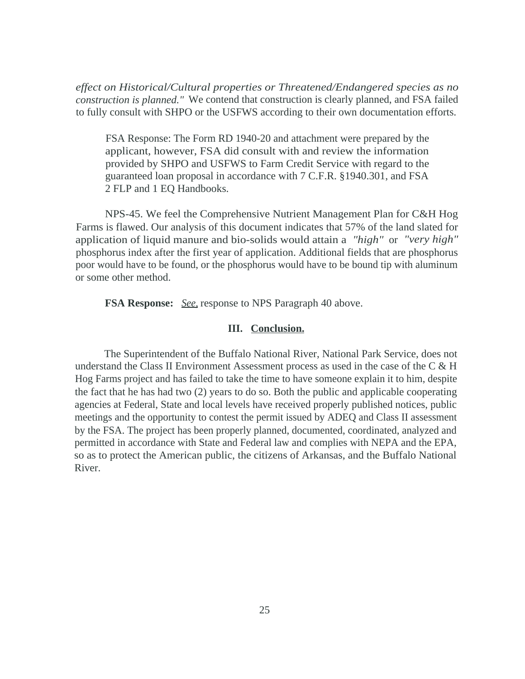*effect on Historical/Cultural properties or Threatened/Endangered species as no construction is planned."* We contend that construction is clearly planned, and FSA failed to fully consult with SHPO or the USFWS according to their own documentation efforts.

FSA Response: The Form RD 1940-20 and attachment were prepared by the applicant, however, FSA did consult with and review the information provided by SHPO and USFWS to Farm Credit Service with regard to the guaranteed loan proposal in accordance with 7 C.F.R. §1940.301, and FSA 2 FLP and 1 EQ Handbooks.

NPS-45. We feel the Comprehensive Nutrient Management Plan for C&H Hog Farms is flawed. Our analysis of this document indicates that 57% of the land slated for application of liquid manure and bio-solids would attain a *"high"* or *"very high"*  phosphorus index after the first year of application. Additional fields that are phosphorus poor would have to be found, or the phosphorus would have to be bound tip with aluminum or some other method.

**FSA Response:** *See,* response to NPS Paragraph 40 above.

### **III. Conclusion.**

The Superintendent of the Buffalo National River, National Park Service, does not understand the Class II Environment Assessment process as used in the case of the  $C \& H$ Hog Farms project and has failed to take the time to have someone explain it to him, despite the fact that he has had two (2) years to do so. Both the public and applicable cooperating agencies at Federal, State and local levels have received properly published notices, public meetings and the opportunity to contest the permit issued by ADEQ and Class II assessment by the FSA. The project has been properly planned, documented, coordinated, analyzed and permitted in accordance with State and Federal law and complies with NEPA and the EPA, so as to protect the American public, the citizens of Arkansas, and the Buffalo National River.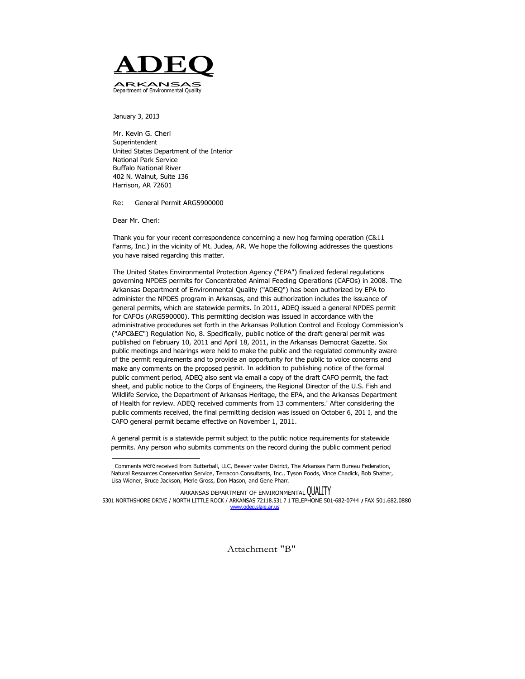

January 3, 2013

Mr. Kevin G. Cheri Superintendent United States Department of the Interior National Park Service Buffalo National River 402 N. Walnut, Suite 136 Harrison, AR 72601

Re: General Permit ARG5900000

Dear Mr. Cheri:

Thank you for your recent correspondence concerning a new hog farming operation (C&11 Farms, Inc.) in the vicinity of Mt. Judea, AR. We hope the following addresses the questions you have raised regarding this matter.

The United States Environmental Protection Agency ("EPA") finalized federal regulations governing NPDES permits for Concentrated Animal Feeding Operations (CAFOs) in 2008. The Arkansas Department of Environmental Quality ("ADEQ") has been authorized by EPA to administer the NPDES program in Arkansas, and this authorization includes the issuance of general permits, which are statewide permits. In 2011, ADEQ issued a general NPDES permit for CAFOs (ARG590000). This permitting decision was issued in accordance with the administrative procedures set forth in the Arkansas Pollution Control and Ecology Commission's ("APC&EC") Regulation No, 8. Specifically, public notice of the draft general permit was published on February 10, 2011 and April 18, 2011, in the Arkansas Democrat Gazette. Six public meetings and hearings were held to make the public and the regulated community aware of the permit requirements and to provide an opportunity for the public to voice concerns and make any comments on the proposed pennit. In addition to publishing notice of the formal public comment period, ADEQ also sent via email a copy of the draft CAFO permit, the fact sheet, and public notice to the Corps of Engineers, the Regional Director of the U.S. Fish and Wildlife Service, the Department of Arkansas Heritage, the EPA, and the Arkansas Department of Health for review. ADEQ received comments from 13 commenters.' After considering the public comments received, the final permitting decision was issued on October 6, 201 I, and the CAFO general permit became effective on November 1, 2011.

A general permit is a statewide permit subject to the public notice requirements for statewide permits. Any person who submits comments on the record during the public comment period

Attachment "B"

Comments were received from Butterball, LLC, Beaver water District, The Arkansas Farm Bureau Federation, Natural Resources Conservation Service, Terracon Consultants, Inc., Tyson Foods, Vince Chadick, Bob Shatter, Lisa Widner, Bruce Jackson, Merle Gross, Don Mason, and Gene Pharr.

ARKANSAS DEPARTMENT OF ENVIRONMENTAL QUALITY

<sup>5301</sup> NORTHSHORE DRIVE / NORTH LITTLE ROCK / ARKANSAS 72118.531 7 1 TELEPHONE 501-682-0744 **/** FAX 501.682.0880 www.odeq.slaie.ar.us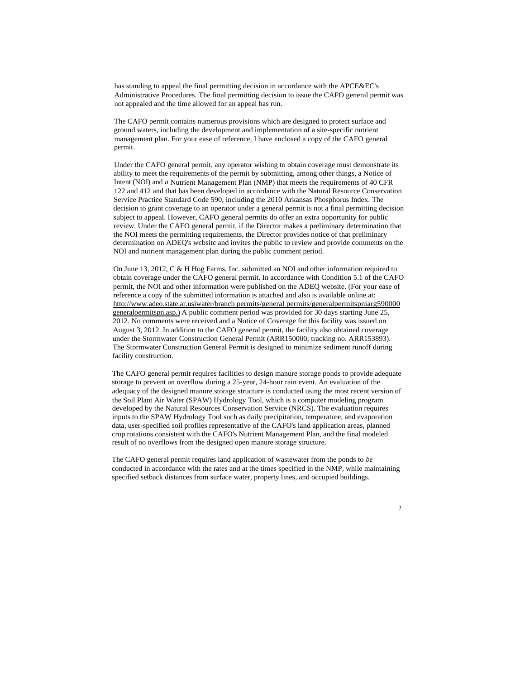has standing to appeal the final permitting decision in accordance with the APCE&EC's Administrative Procedures. The final permitting decision to issue the CAFO general permit was not appealed and the time allowed for an appeal has run.

The CAFO permit contains numerous provisions which are designed to protect surface and ground waters, including the development and implementation of a site-specific nutrient management plan. For your ease of reference, I have enclosed a copy of the CAFO general permit.

Under the CAFO general permit, any operator wishing to obtain coverage must demonstrate its ability to meet the requirements of the permit by submitting, among other things, a Notice of Intent (NOI) and *a* Nutrient Management Plan (NMP) that meets the requirements of 40 CFR 122 and 412 and that has been developed in accordance with the Natural Resource Conservation Service Practice Standard Code 590, including the 2010 Arkansas Phosphorus Index. The decision to grant coverage to an operator under a general permit is not a final permitting decision subject to appeal. However, CAFO general permits do offer an extra opportunity for public review. Under the CAFO general permit, if the Director makes a preliminary determination that the NOI meets the permitting requirements, the Director provides notice of that preliminary determination on ADEQ's wcbsitc and invites the public to review and provide comments on the NOI and nutrient management plan during the public comment period.

On June 13, 2012, C & H Hog Farms, Inc. submitted an NOI and other information required to obtain coverage under the CAFO general permit. In accordance with Condition 5.1 of the CAFO permit, the NOI and other information were published on the ADEQ website. (For your ease of reference a copy of the submitted information is attached and also is available online at: htto://www.adeo.state.ar.usiwater/branchpermits/general permits/generalpermitspniarg590000 generaloermitspn.asp.)A public comment period was provided for 30 days starting June 25, 2012. No comments were received and a Notice of Coverage for this facility was issued on August 3, 2012. In addition to the CAFO general permit, the facility also obtained coverage under the Stormwater Construction General Permit (ARR150000; tracking no. ARR153893). The Stormwater Construction General Permit is designed to minimize sediment runoff during facility construction.

The CAFO general permit requires facilities to design manure storage ponds to provide adequate storage to prevent an overflow during a 25-year, 24-hour rain event. An evaluation of the adequacy of the designed manure storage structure is conducted using the most recent version of the Soil Plant Air Water (SPAW) Hydrology Tool, which is a computer modeling program developed by the Natural Resources Conservation Service (NRCS). The evaluation requires inputs to the SPAW Hydrology Tool such as daily precipitation, temperature, and evaporation data, user-specified soil profiles representative of the CAFO's land application areas, planned crop rotations consistent with the CAFO's Nutrient Management Plan, and the final modeled result of no overflows from the designed open manure storage structure.

The CAFO general permit requires land application of wastewater from the ponds to *be*  conducted in accordance with the rates and at the times specified in the NMP, while maintaining specified setback distances from surface water, property lines, and occupied buildings.

#### $\overline{2}$